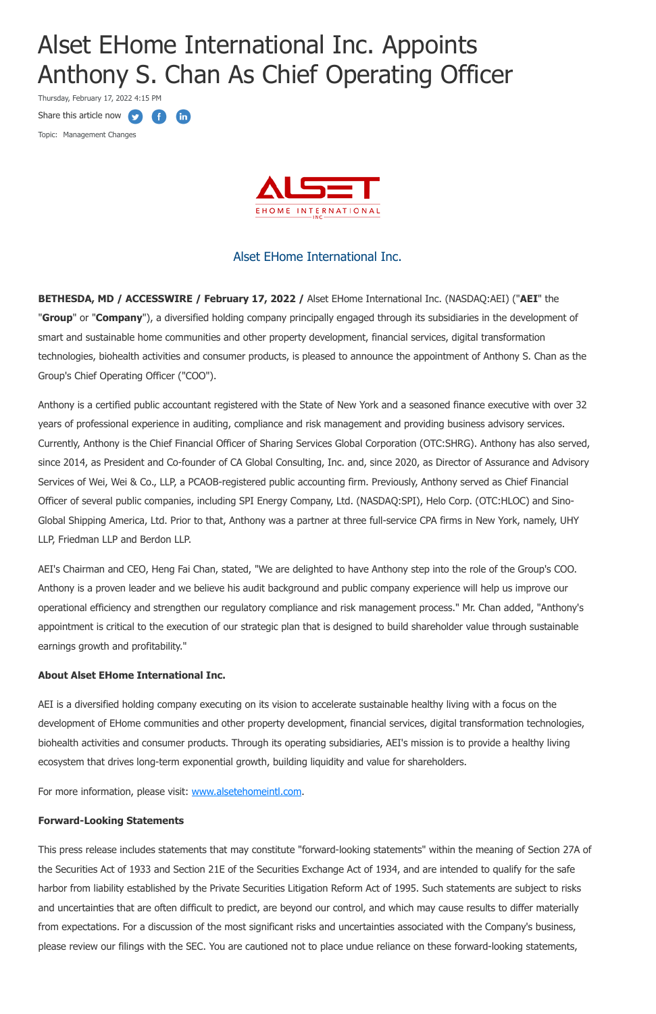# Alset EHome International Inc. Appoints Anthony S. Chan As Chief Operating Officer

Thursday, February 17, 2022 4:15 PM

**fin** 

Œ

Share this article now  $\bullet$ 

Topic: Management Changes



## Alset EHome International Inc.

**BETHESDA, MD / ACCESSWIRE / February 17, 2022 /** Alset EHome International Inc. (NASDAQ:AEI) ("**AEI**" the "**Group**" or "**Company**"), a diversified holding company principally engaged through its subsidiaries in the development of smart and sustainable home communities and other property development, financial services, digital transformation technologies, biohealth activities and consumer products, is pleased to announce the appointment of Anthony S. Chan as the Group's Chief Operating Officer ("COO").

Anthony is a certified public accountant registered with the State of New York and a seasoned finance executive with over 32 years of professional experience in auditing, compliance and risk management and providing business advisory services. Currently, Anthony is the Chief Financial Officer of Sharing Services Global Corporation (OTC:SHRG). Anthony has also served, since 2014, as President and Co-founder of CA Global Consulting, Inc. and, since 2020, as Director of Assurance and Advisory Services of Wei, Wei & Co., LLP, a PCAOB-registered public accounting firm. Previously, Anthony served as Chief Financial Officer of several public companies, including SPI Energy Company, Ltd. (NASDAQ:SPI), Helo Corp. (OTC:HLOC) and Sino-Global Shipping America, Ltd. Prior to that, Anthony was a partner at three full-service CPA firms in New York, namely, UHY LLP, Friedman LLP and Berdon LLP.

AEI's Chairman and CEO, Heng Fai Chan, stated, "We are delighted to have Anthony step into the role of the Group's COO. Anthony is a proven leader and we believe his audit background and public company experience will help us improve our operational efficiency and strengthen our regulatory compliance and risk management process." Mr. Chan added, "Anthony's appointment is critical to the execution of our strategic plan that is designed to build shareholder value through sustainable earnings growth and profitability."

#### **About Alset EHome International Inc.**

AEI is a diversified holding company executing on its vision to accelerate sustainable healthy living with a focus on the development of EHome communities and other property development, financial services, digital transformation technologies, biohealth activities and consumer products. Through its operating subsidiaries, AEI's mission is to provide a healthy living

ecosystem that drives long-term exponential growth, building liquidity and value for shareholders.

For more information, please visit: [www.alsetehomeintl.com](https://pr.report/7heABWp0).

#### **Forward-Looking Statements**

This press release includes statements that may constitute "forward-looking statements" within the meaning of Section 27A of the Securities Act of 1933 and Section 21E of the Securities Exchange Act of 1934, and are intended to qualify for the safe harbor from liability established by the Private Securities Litigation Reform Act of 1995. Such statements are subject to risks and uncertainties that are often difficult to predict, are beyond our control, and which may cause results to differ materially from expectations. For a discussion of the most significant risks and uncertainties associated with the Company's business, please review our filings with the SEC. You are cautioned not to place undue reliance on these forward-looking statements,